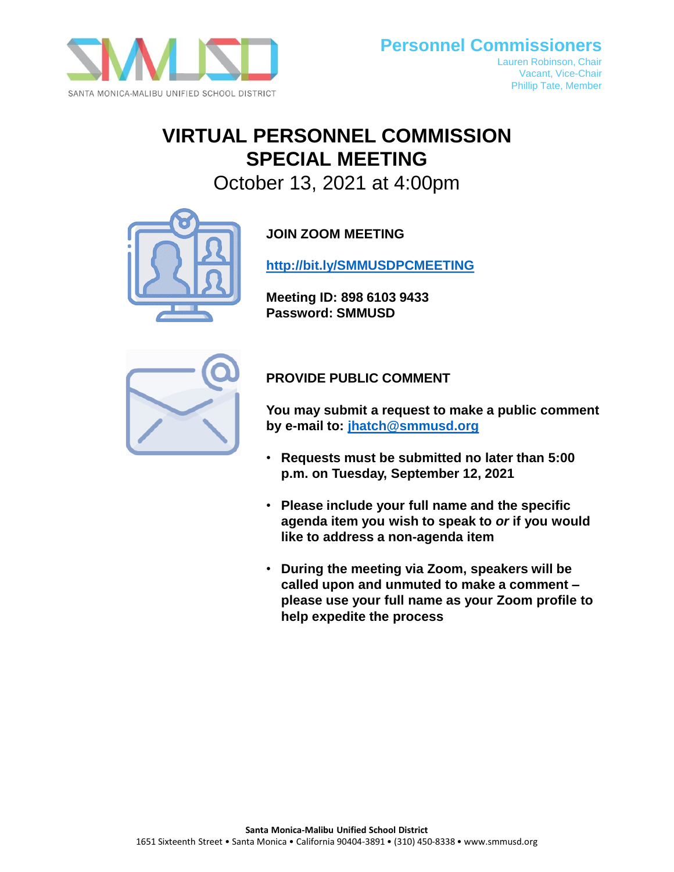

# **VIRTUAL PERSONNEL COMMISSION SPECIAL MEETING**

October 13, 2021 at 4:00pm



**JOIN ZOOM MEETING**

**<http://bit.ly/SMMUSDPCMEETING>**

**Meeting ID: 898 6103 9433 Password: SMMUSD**



# **PROVIDE PUBLIC COMMENT**

**You may submit a request to make a public comment by e-mail to: [jhatch@smmusd.org](mailto:jhatch@smmusd.org)**

- **Requests must be submitted no later than 5:00 p.m. on Tuesday, September 12, 2021**
- **Please include your full name and the specific agenda item you wish to speak to** *or* **if you would like to address a non-agenda item**
- **During the meeting via Zoom, speakers will be called upon and unmuted to make a comment – please use your full name as your Zoom profile to help expedite the process**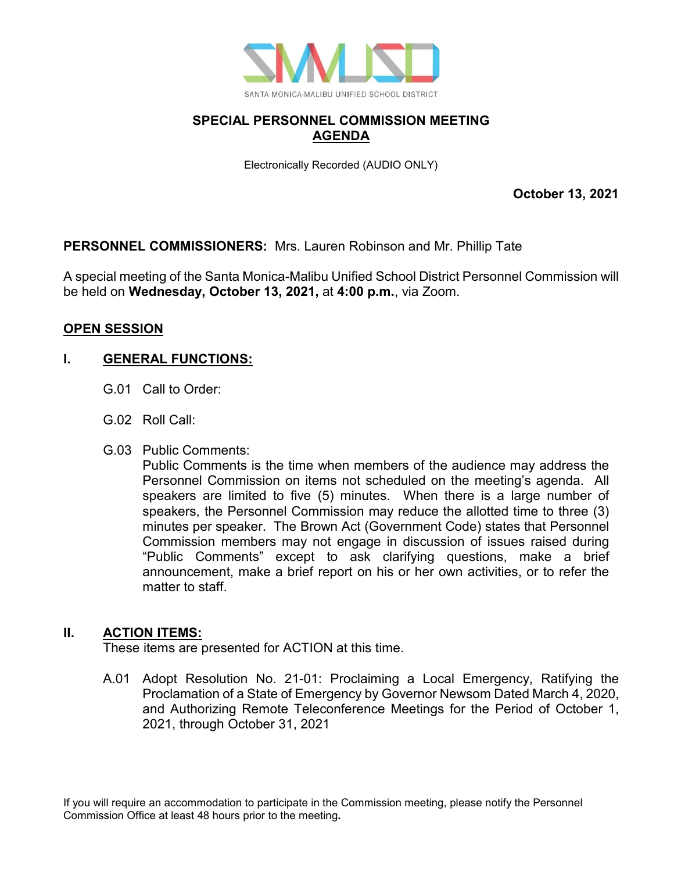

# **SPECIAL PERSONNEL COMMISSION MEETING AGENDA**

Electronically Recorded (AUDIO ONLY)

**October 13, 2021**

# **PERSONNEL COMMISSIONERS:** Mrs. Lauren Robinson and Mr. Phillip Tate

A special meeting of the Santa Monica-Malibu Unified School District Personnel Commission will be held on **Wednesday, October 13, 2021,** at **4:00 p.m.**, via Zoom.

#### **OPEN SESSION**

# **I. GENERAL FUNCTIONS:**

- G.01 Call to Order:
- G.02 Roll Call:
- G.03 Public Comments:

Public Comments is the time when members of the audience may address the Personnel Commission on items not scheduled on the meeting's agenda. All speakers are limited to five (5) minutes. When there is a large number of speakers, the Personnel Commission may reduce the allotted time to three (3) minutes per speaker. The Brown Act (Government Code) states that Personnel Commission members may not engage in discussion of issues raised during "Public Comments" except to ask clarifying questions, make a brief announcement, make a brief report on his or her own activities, or to refer the matter to staff.

#### **II. ACTION ITEMS:**

These items are presented for ACTION at this time.

A.01 Adopt Resolution No. 21-01: Proclaiming a Local Emergency, Ratifying the Proclamation of a State of Emergency by Governor Newsom Dated March 4, 2020, and Authorizing Remote Teleconference Meetings for the Period of October 1, 2021, through October 31, 2021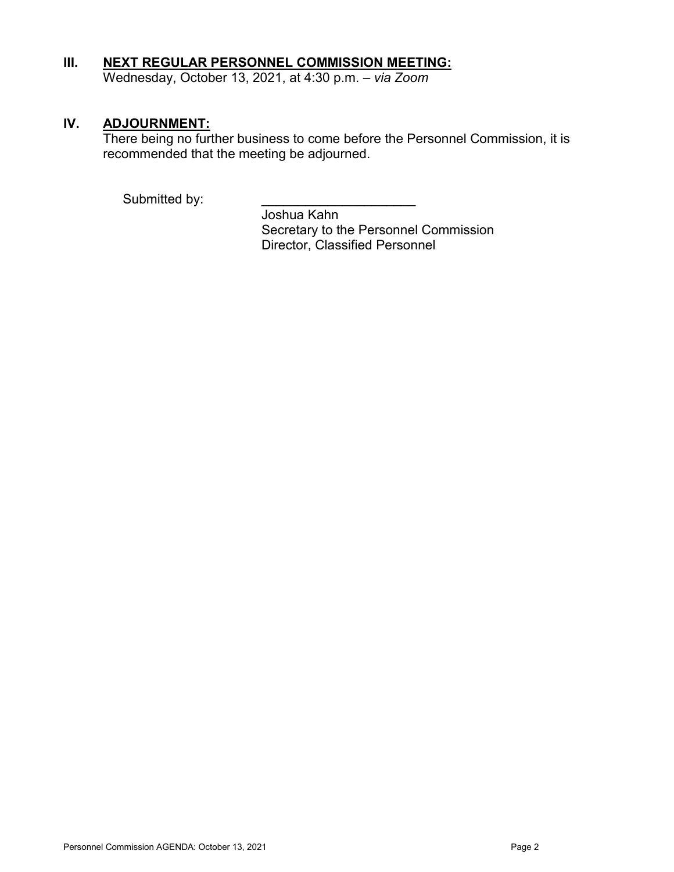# **III. NEXT REGULAR PERSONNEL COMMISSION MEETING:**

Wednesday, October 13, 2021, at 4:30 p.m. – *via Zoom*

### **IV. ADJOURNMENT:**

There being no further business to come before the Personnel Commission, it is recommended that the meeting be adjourned.

Submitted by:

Joshua Kahn Secretary to the Personnel Commission Director, Classified Personnel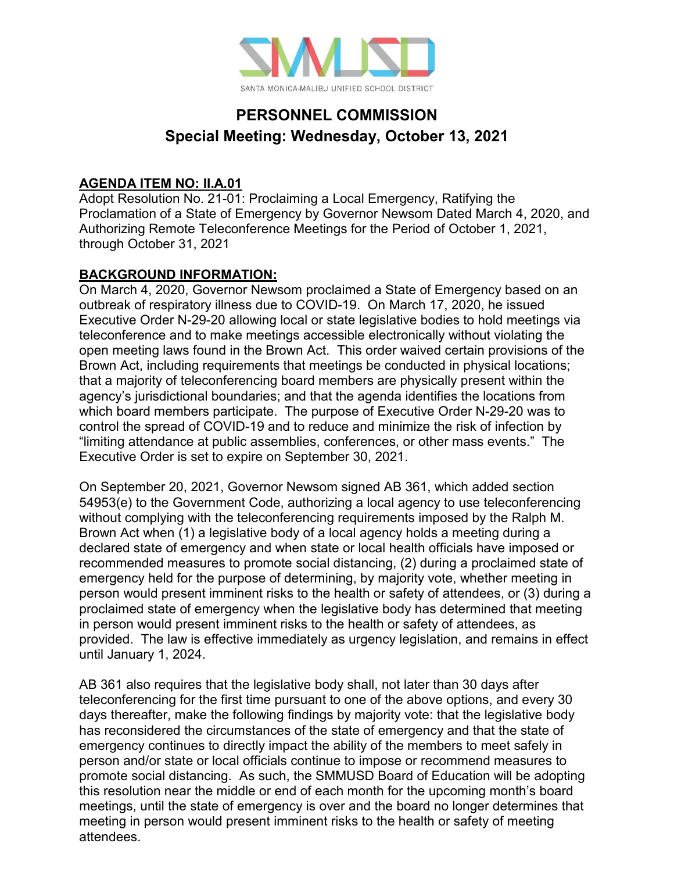

# **PERSONNEL COMMISSION Special Meeting: Wednesday, October 13, 2021**

### **AGENDA ITEM NO: II.A.01**

Adopt Resolution No. 21-01: Proclaiming a Local Emergency, Ratifying the Proclamation of a State of Emergency by Governor Newsom Dated March 4, 2020, and Authorizing Remote Teleconference Meetings for the Period of October 1, 2021, through October 31, 2021

# **BACKGROUND INFORMATION:**

On March 4, 2020, Governor Newsom proclaimed a State of Emergency based on an outbreak of respiratory illness due to COVID-19. On March 17, 2020, he issued Executive Order N-29-20 allowing local or state legislative bodies to hold meetings via teleconference and to make meetings accessible electronically without violating the open meeting laws found in the Brown Act. This order waived certain provisions of the Brown Act, including requirements that meetings be conducted in physical locations; that a majority of teleconferencing board members are physically present within the agency's jurisdictional boundaries; and that the agenda identifies the locations from which board members participate. The purpose of Executive Order N-29-20 was to control the spread of COVID-19 and to reduce and minimize the risk of infection by "limiting attendance at public assemblies, conferences, or other mass events." The Executive Order is set to expire on September 30, 2021.

On September 20, 2021, Governor Newsom signed AB 361, which added section 54953(e) to the Government Code, authorizing a local agency to use teleconferencing without complying with the teleconferencing requirements imposed by the Ralph M. Brown Act when (1) a legislative body of a local agency holds a meeting during a declared state of emergency and when state or local health officials have imposed or recommended measures to promote social distancing, (2) during a proclaimed state of emergency held for the purpose of determining, by majority vote, whether meeting in person would present imminent risks to the health or safety of attendees, or (3) during a proclaimed state of emergency when the legislative body has determined that meeting in person would present imminent risks to the health or safety of attendees, as provided. The law is effective immediately as urgency legislation, and remains in effect until January 1, 2024.

AB 361 also requires that the legislative body shall, not later than 30 days after teleconferencing for the first time pursuant to one of the above options, and every 30 days thereafter, make the following findings by majority vote: that the legislative body has reconsidered the circumstances of the state of emergency and that the state of emergency continues to directly impact the ability of the members to meet safely in person and/or state or local officials continue to impose or recommend measures to promote social distancing. As such, the SMMUSD Board of Education will be adopting this resolution near the middle or end of each month for the upcoming month's board meetings, until the state of emergency is over and the board no longer determines that meeting in person would present imminent risks to the health or safety of meeting attendees.